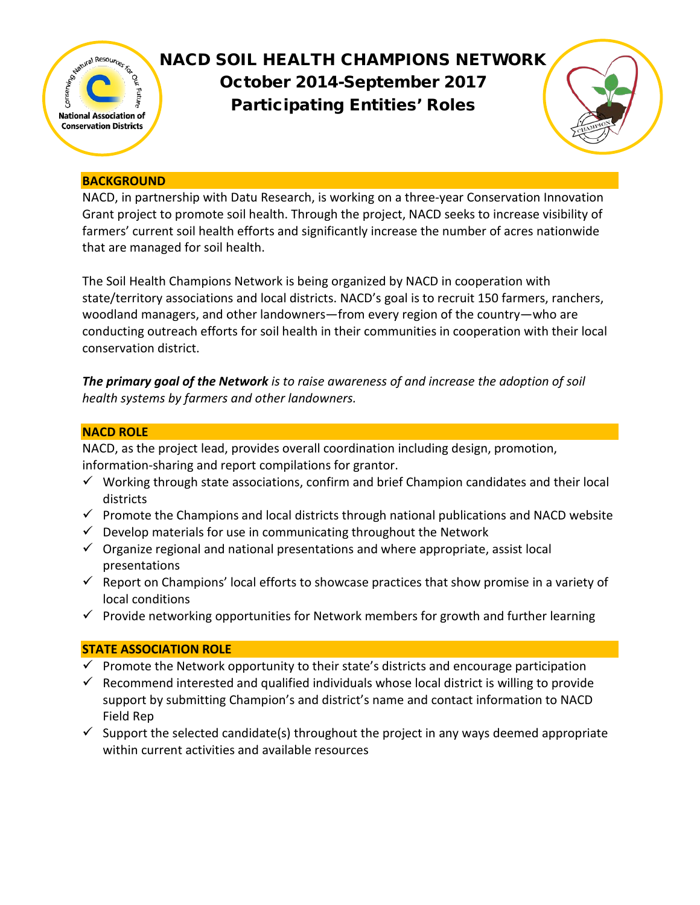

# NACD SOIL HEALTH CHAMPIONS NETWORK October 2014-September 2017 Participating Entities' Roles



## **BACKGROUND**

NACD, in partnership with Datu Research, is working on a three-year Conservation Innovation Grant project to promote soil health. Through the project, NACD seeks to increase visibility of farmers' current soil health efforts and significantly increase the number of acres nationwide that are managed for soil health.

The Soil Health Champions Network is being organized by NACD in cooperation with state/territory associations and local districts. NACD's goal is to recruit 150 farmers, ranchers, woodland managers, and other landowners—from every region of the country—who are conducting outreach efforts for soil health in their communities in cooperation with their local conservation district.

*The primary goal of the Network is to raise awareness of and increase the adoption of soil health systems by farmers and other landowners.*

## **NACD ROLE**

NACD, as the project lead, provides overall coordination including design, promotion, information-sharing and report compilations for grantor.

- $\checkmark$  Working through state associations, confirm and brief Champion candidates and their local districts
- $\checkmark$  Promote the Champions and local districts through national publications and NACD website
- $\checkmark$  Develop materials for use in communicating throughout the Network
- $\checkmark$  Organize regional and national presentations and where appropriate, assist local presentations
- $\checkmark$  Report on Champions' local efforts to showcase practices that show promise in a variety of local conditions
- $\checkmark$  Provide networking opportunities for Network members for growth and further learning

# **STATE ASSOCIATION ROLE**

- $\checkmark$  Promote the Network opportunity to their state's districts and encourage participation
- $\checkmark$  Recommend interested and qualified individuals whose local district is willing to provide support by submitting Champion's and district's name and contact information to NACD Field Rep
- $\checkmark$  Support the selected candidate(s) throughout the project in any ways deemed appropriate within current activities and available resources